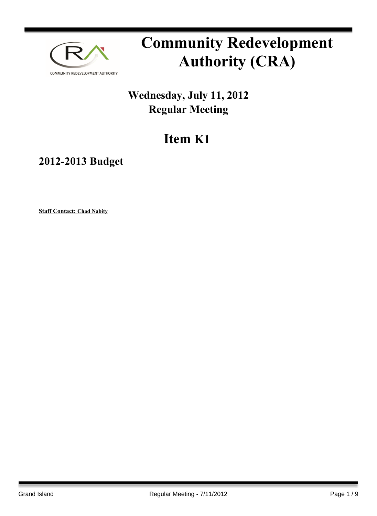

# **Community Redevelopment Authority (CRA)**

### **Wednesday, July 11, 2012 Regular Meeting**

## **Item K1**

**2012-2013 Budget**

**Staff Contact: Chad Nabity**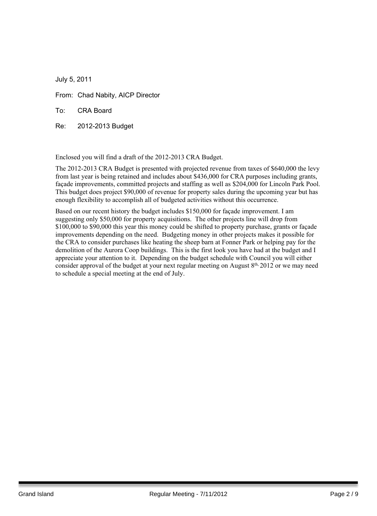July 5, 2011

From: Chad Nabity, AICP Director

To: CRA Board

Re: 2012-2013 Budget

Enclosed you will find a draft of the 2012-2013 CRA Budget.

The 2012-2013 CRA Budget is presented with projected revenue from taxes of \$640,000 the levy from last year is being retained and includes about \$436,000 for CRA purposes including grants, façade improvements, committed projects and staffing as well as \$204,000 for Lincoln Park Pool. This budget does project \$90,000 of revenue for property sales during the upcoming year but has enough flexibility to accomplish all of budgeted activities without this occurrence.

Based on our recent history the budget includes \$150,000 for façade improvement. I am suggesting only \$50,000 for property acquisitions. The other projects line will drop from \$100,000 to \$90,000 this year this money could be shifted to property purchase, grants or facade improvements depending on the need. Budgeting money in other projects makes it possible for the CRA to consider purchases like heating the sheep barn at Fonner Park or helping pay for the demolition of the Aurora Coop buildings. This is the first look you have had at the budget and I appreciate your attention to it. Depending on the budget schedule with Council you will either consider approval of the budget at your next regular meeting on August 8<sup>th,</sup> 2012 or we may need to schedule a special meeting at the end of July.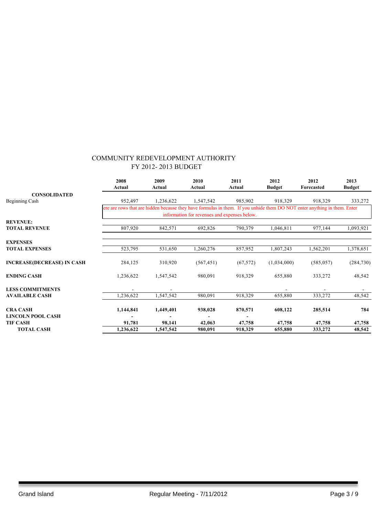|                                   | 2008<br>Actual                                                                                                           | 2009<br>Actual | 2010<br>Actual                               | 2011<br>Actual | 2012<br><b>Budget</b> | 2012<br>Forecasted | 2013<br><b>Budget</b> |
|-----------------------------------|--------------------------------------------------------------------------------------------------------------------------|----------------|----------------------------------------------|----------------|-----------------------|--------------------|-----------------------|
| <b>CONSOLIDATED</b>               |                                                                                                                          |                |                                              |                |                       |                    |                       |
| Beginning Cash                    | 952,497                                                                                                                  | 1,236,622      | 1,547,542                                    | 985,902        | 918,329               | 918,329            | 333,272               |
|                                   | ere are rows that are hidden because they have formulas in them. If you unhide them DO NOT enter anything in them. Enter |                | information for revenues and expenses below. |                |                       |                    |                       |
| <b>REVENUE:</b>                   |                                                                                                                          |                |                                              |                |                       |                    |                       |
| <b>TOTAL REVENUE</b>              | 807,920                                                                                                                  | 842,571        | 692,826                                      | 790,379        | 1,046,811             | 977,144            | 1,093,921             |
| <b>EXPENSES</b>                   |                                                                                                                          |                |                                              |                |                       |                    |                       |
| <b>TOTAL EXPENSES</b>             | 523,795                                                                                                                  | 531,650        | 1,260,276                                    | 857,952        | 1,807,243             | 1,562,201          | 1,378,651             |
| <b>INCREASE(DECREASE) IN CASH</b> | 284,125                                                                                                                  | 310,920        | (567, 451)                                   | (67, 572)      | (1,034,000)           | (585, 057)         | (284, 730)            |
| <b>ENDING CASH</b>                | 1,236,622                                                                                                                | 1,547,542      | 980,091                                      | 918,329        | 655,880               | 333,272            | 48,542                |
| <b>LESS COMMITMENTS</b>           |                                                                                                                          |                |                                              |                |                       |                    |                       |
| <b>AVAILABLE CASH</b>             | 1,236,622                                                                                                                | 1,547,542      | 980,091                                      | 918,329        | 655,880               | 333,272            | 48,542                |
| <b>CRA CASH</b>                   | 1,144,841                                                                                                                | 1,449,401      | 938,028                                      | 870,571        | 608,122               | 285,514            | 784                   |
| <b>LINCOLN POOL CASH</b>          |                                                                                                                          |                |                                              |                |                       |                    |                       |
| <b>TIF CASH</b>                   | 91,781                                                                                                                   | 98,141         | 42,063                                       | 47,758         | 47,758                | 47,758             | 47,758                |
| <b>TOTAL CASH</b>                 | 1,236,622                                                                                                                | 1,547,542      | 980,091                                      | 918,329        | 655,880               | 333,272            | 48,542                |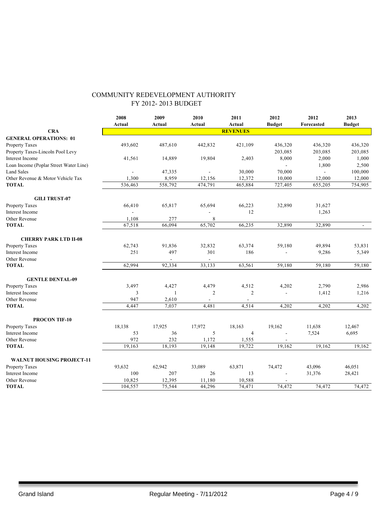|                                        | 2008<br>Actual | 2009<br>Actual | 2010<br>Actual | 2011<br>Actual  | 2012<br><b>Budget</b> | 2012<br>Forecasted | 2013<br><b>Budget</b> |
|----------------------------------------|----------------|----------------|----------------|-----------------|-----------------------|--------------------|-----------------------|
| <b>CRA</b>                             |                |                |                | <b>REVENUES</b> |                       |                    |                       |
| <b>GENERAL OPERATIONS: 01</b>          |                |                |                |                 |                       |                    |                       |
| Property Taxes                         | 493,602        | 487,610        | 442,832        | 421,109         | 436,320               | 436,320            | 436,320               |
| Property Taxes-Lincoln Pool Levy       |                |                |                |                 | 203,085               | 203,085            | 203,085               |
| <b>Interest Income</b>                 | 41,561         | 14,889         | 19,804         | 2,403           | 8,000                 | 2,000              | 1,000                 |
| Loan Income (Poplar Street Water Line) |                |                |                |                 |                       | 1,800              | 2,500                 |
| <b>Land Sales</b>                      |                | 47,335         |                | 30,000          | 70,000                | $\overline{a}$     | 100,000               |
| Other Revenue & Motor Vehicle Tax      | 1,300          | 8,959          | 12,156         | 12,372          | 10,000                | 12,000             | 12,000                |
| <b>TOTAL</b>                           | 536,463        | 558,792        | 474,791        | 465,884         | 727,405               | 655,205            | 754,905               |
| <b>GILI TRUST-07</b>                   |                |                |                |                 |                       |                    |                       |
| Property Taxes                         | 66,410         | 65,817         | 65,694         | 66,223          | 32,890                | 31,627             |                       |
| Interest Income                        | $\blacksquare$ |                |                | 12              |                       | 1,263              |                       |
| Other Revenue                          | 1,108          | 277            | 8              |                 |                       |                    |                       |
| <b>TOTAL</b>                           | 67,518         | 66,094         | 65,702         | 66,235          | 32,890                | 32,890             | $\blacksquare$        |
| <b>CHERRY PARK LTD II-08</b>           |                |                |                |                 |                       |                    |                       |
| <b>Property Taxes</b>                  | 62,743         | 91,836         | 32,832         | 63,374          | 59,180                | 49,894             | 53,831                |
| Interest Income                        | 251            | 497            | 301            | 186             |                       | 9,286              | 5,349                 |
| Other Revenue                          |                |                |                |                 |                       |                    |                       |
| <b>TOTAL</b>                           | 62,994         | 92,334         | 33,133         | 63,561          | 59,180                | 59,180             | 59,180                |
| <b>GENTLE DENTAL-09</b>                |                |                |                |                 |                       |                    |                       |
| <b>Property Taxes</b>                  | 3,497          | 4,427          | 4,479          | 4,512           | 4,202                 | 2,790              | 2,986                 |
| <b>Interest Income</b>                 | 3              | $\mathbf{1}$   | $\overline{2}$ | $\overline{c}$  | ÷,                    | 1,412              | 1,216                 |
| Other Revenue                          | 947            | 2,610          |                |                 |                       |                    |                       |
| <b>TOTAL</b>                           | 4,447          | 7.037          | 4,481          | 4,514           | 4,202                 | 4,202              | 4,202                 |
| <b>PROCON TIF-10</b>                   |                |                |                |                 |                       |                    |                       |
| <b>Property Taxes</b>                  | 18,138         | 17,925         | 17,972         | 18,163          | 19,162                | 11,638             | 12,467                |
| <b>Interest Income</b>                 | 53             | 36             | 5              | $\overline{4}$  |                       | 7,524              | 6,695                 |
| Other Revenue                          | 972            | 232            | 1,172          | 1,555           |                       |                    |                       |
| <b>TOTAL</b>                           | 19,163         | 18,193         | 19,148         | 19,722          | 19,162                | 19,162             | 19,162                |
| <b>WALNUT HOUSING PROJECT-11</b>       |                |                |                |                 |                       |                    |                       |
| Property Taxes                         | 93,632         | 62,942         | 33,089         | 63,871          | 74,472                | 43,096             | 46,051                |
| Interest Income                        | 100            | 207            | 26             | 13              | ÷,                    | 31,376             | 28,421                |
| Other Revenue                          | 10,825         | 12,395         | 11,180         | 10,588          |                       |                    |                       |
| <b>TOTAL</b>                           | 104,557        | 75,544         | 44,296         | 74,471          | 74,472                | 74,472             | 74,472                |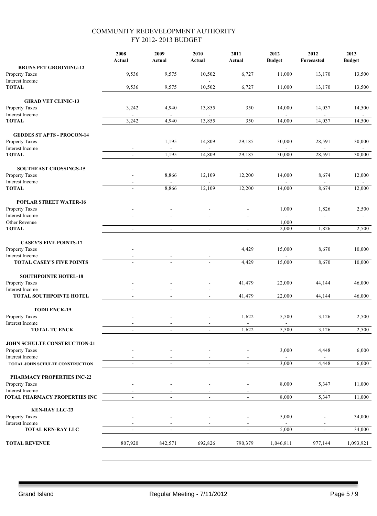|                                                | 2008<br>Actual           | 2009<br>Actual | 2010<br>Actual           | 2011<br>Actual           | 2012<br><b>Budget</b>   | 2012<br>Forecasted       | 2013<br><b>Budget</b> |
|------------------------------------------------|--------------------------|----------------|--------------------------|--------------------------|-------------------------|--------------------------|-----------------------|
| <b>BRUNS PET GROOMING-12</b>                   |                          |                |                          |                          |                         |                          |                       |
| Property Taxes<br>Interest Income              | 9,536                    | 9,575          | 10,502                   | 6,727                    | 11,000                  | 13,170                   | 13,500                |
| <b>TOTAL</b>                                   | 9,536                    | 9,575          | 10,502                   | 6,727                    | 11,000                  | 13,170                   | 13,500                |
| <b>GIRAD VET CLINIC-13</b>                     |                          |                |                          |                          |                         |                          |                       |
| <b>Property Taxes</b>                          | 3,242                    | 4,940          | 13,855                   | 350                      | 14,000                  | 14,037                   | 14,500                |
| Interest Income                                |                          |                |                          |                          |                         |                          |                       |
| <b>TOTAL</b>                                   | 3,242                    | 4,940          | 13,855                   | 350                      | 14,000                  | 14,037                   | 14,500                |
| <b>GEDDES ST APTS - PROCON-14</b>              |                          |                |                          |                          |                         |                          |                       |
| Property Taxes                                 |                          | 1,195          | 14,809                   | 29,185                   | 30,000                  | 28,591                   | 30,000                |
| Interest Income                                |                          |                | $\overline{\phantom{a}}$ |                          | $\blacksquare$          | $\overline{\phantom{a}}$ |                       |
| <b>TOTAL</b>                                   | ä,                       | 1,195          | 14,809                   | 29,185                   | 30,000                  | 28,591                   | 30,000                |
| SOUTHEAST CROSSINGS-15                         |                          |                |                          |                          |                         |                          |                       |
| Property Taxes                                 |                          | 8,866          | 12,109                   | 12,200                   | 14,000                  | 8,674                    | 12,000                |
| <b>Interest Income</b>                         |                          |                |                          |                          |                         |                          |                       |
| <b>TOTAL</b>                                   | $\blacksquare$           | 8,866          | 12,109                   | 12,200                   | 14,000                  | 8,674                    | 12,000                |
| <b>POPLAR STREET WATER-16</b>                  |                          |                |                          |                          |                         |                          |                       |
| Property Taxes                                 |                          |                |                          |                          | 1,000                   | 1,826                    | 2,500                 |
| Interest Income                                |                          |                |                          |                          | $\mathbf{r}$            |                          |                       |
| Other Revenue<br><b>TOTAL</b>                  | ä,                       | $\blacksquare$ | $\blacksquare$           | $\blacksquare$           | 1,000<br>2,000          | 1,826                    | 2,500                 |
|                                                |                          |                |                          |                          |                         |                          |                       |
| <b>CASEY'S FIVE POINTS-17</b>                  |                          |                |                          |                          |                         |                          |                       |
| Property Taxes                                 |                          |                |                          | 4,429                    | 15,000                  | 8,670                    | 10,000                |
| Interest Income<br>TOTAL CASEY'S FIVE POINTS   | $\blacksquare$           | $\blacksquare$ | $\blacksquare$           | 4,429                    | 15,000                  | 8,670                    | 10,000                |
|                                                |                          |                |                          |                          |                         |                          |                       |
| <b>SOUTHPOINTE HOTEL-18</b>                    |                          |                |                          |                          |                         |                          |                       |
| Property Taxes<br>Interest Income              |                          |                |                          | 41,479                   | 22,000                  | 44,144                   | 46,000                |
| TOTAL SOUTHPOINTE HOTEL                        | $\overline{a}$           | $\mathbf{r}$   | $\mathbf{r}$             | 41,479                   | 22,000                  | 44,144                   | 46,000                |
|                                                |                          |                |                          |                          |                         |                          |                       |
| <b>TODD ENCK-19</b>                            |                          |                |                          | 1,622                    |                         |                          |                       |
| Property Taxes<br>Interest Income              |                          |                |                          | $\overline{\phantom{a}}$ | 5,500<br>$\blacksquare$ | 3,126                    | 2,500                 |
| TOTAL TC ENCK                                  | $\overline{\phantom{a}}$ | $\blacksquare$ | $\blacksquare$           | 1,622                    | 5,500                   | 3,126                    | 2,500                 |
|                                                |                          |                |                          |                          |                         |                          |                       |
| JOHN SCHULTE CONSTRUCTION-21<br>Property Taxes |                          |                |                          |                          | 3,000                   | 4,448                    | 6,000                 |
| Interest Income                                |                          |                |                          |                          |                         |                          |                       |
| TOTAL JOHN SCHULTE CONSTRUCTION                |                          |                |                          |                          | 3,000                   | 4,448                    | 6,000                 |
| PHARMACY PROPERTIES INC-22                     |                          |                |                          |                          |                         |                          |                       |
| Property Taxes                                 |                          |                |                          |                          | 8,000                   | 5,347                    | 11,000                |
| Interest Income                                |                          |                |                          |                          |                         |                          |                       |
| <b><i>FOTAL PHARMACY PROPERTIES INC</i></b>    |                          | $\sim$         | $\sim$                   | $\blacksquare$           | 8,000                   | 5,347                    | 11,000                |
| <b>KEN-RAY LLC-23</b>                          |                          |                |                          |                          |                         |                          |                       |
| Property Taxes                                 |                          |                |                          |                          | 5,000                   |                          | 34,000                |
| Interest Income                                |                          |                |                          |                          |                         |                          |                       |
| TOTAL KEN-RAY LLC                              |                          | $\blacksquare$ | $\blacksquare$           |                          | 5,000                   |                          | 34,000                |
| <b>TOTAL REVENUE</b>                           | 807,920                  | 842,571        | 692,826                  | 790,379                  | 1,046,811               | 977,144                  | 1,093,921             |
|                                                |                          |                |                          |                          |                         |                          |                       |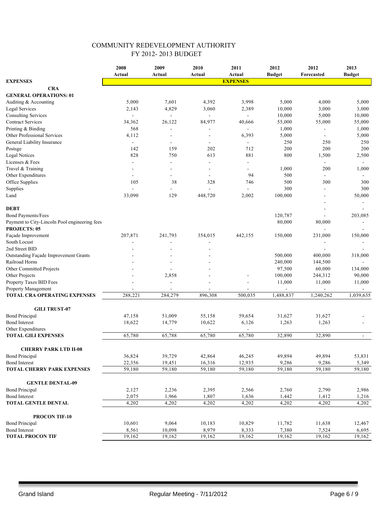|                                                     | 2008            | 2009           | 2010    | 2011           | 2012          | 2012                        | 2013           |  |
|-----------------------------------------------------|-----------------|----------------|---------|----------------|---------------|-----------------------------|----------------|--|
|                                                     | Actual          | Actual         | Actual  | Actual         | <b>Budget</b> | Forecasted                  | <b>Budget</b>  |  |
| <b>EXPENSES</b>                                     | <b>EXPENSES</b> |                |         |                |               |                             |                |  |
| <b>CRA</b>                                          |                 |                |         |                |               |                             |                |  |
| <b>GENERAL OPERATIONS: 01</b>                       |                 |                |         |                |               |                             |                |  |
| Auditing & Accounting                               | 5,000           | 7,601          | 4,392   | 3,998          | 5,000         | 4,000                       | 5,000          |  |
| Legal Services                                      | 2,143           | 4,829          | 3,060   | 2,389          | 10,000        | 3,000                       | 3,000          |  |
| <b>Consulting Services</b>                          |                 |                |         |                | 10,000        | 5,000                       | 10,000         |  |
| <b>Contract Services</b>                            | 34,362          | 26,122         | 84,977  | 40,666         | 55,000        | 55,000                      | 55,000         |  |
| Printing & Binding                                  | 568             |                |         |                | 1,000         |                             | 1,000          |  |
| Other Professional Services                         | 4,112           |                |         | 6,393          | 5,000         | $\sim$                      | 5,000          |  |
| General Liability Insurance                         | $\blacksquare$  | ÷              |         | $\blacksquare$ | 250           | 250                         | 250            |  |
| Postsge                                             | 142             | 159            | 202     | 712            | 200           | 200                         | 200            |  |
| <b>Legal Notices</b>                                | 828             | 750            | 613     | 881            | 800           | 1,500                       | 2,500          |  |
| Licenses & Fees                                     | ÷.              | $\blacksquare$ |         | ÷              |               | $\sim$                      | $\blacksquare$ |  |
| Travel & Training                                   |                 |                |         |                | 1,000         | 200                         | 1,000          |  |
| Other Expenditures                                  |                 | $\blacksquare$ |         | 94             | 500           | $\blacksquare$              |                |  |
| Office Supplies                                     | 105             | 38             | 328     | 746            | 500           | 300                         | 300            |  |
| Supplies                                            |                 | $\blacksquare$ |         |                | 300           | $\overline{\phantom{a}}$    | 300            |  |
| Land                                                | 33,090          | 129            | 448,720 | 2,002          | 100,000       |                             | 50,000         |  |
|                                                     |                 |                |         |                |               |                             |                |  |
| <b>DEBT</b>                                         |                 |                |         |                |               |                             |                |  |
| <b>Bond Payments/Fees</b>                           |                 |                |         |                | 120,787       | $\sim$                      | 203,085        |  |
| Payment to City-Lincoln Pool engineering fees       |                 |                |         |                | 80,000        | 80,000                      |                |  |
| <b>PROJECTS: 05</b>                                 |                 |                |         |                |               |                             |                |  |
| Façade Improvement                                  | 207,871         | 241,793        | 354,015 | 442,155        | 150,000       | 231,000                     | 150,000        |  |
| South Locust                                        |                 |                |         |                |               |                             |                |  |
| 2nd Street BID                                      |                 |                |         |                |               |                             |                |  |
| Outstanding Façade Improvement Grants               |                 |                |         |                | 500,000       | 400,000                     | 318,000        |  |
| Railroad Horns                                      |                 |                |         |                | 240,000       | 144,500                     |                |  |
| Other Committed Projects                            |                 |                |         |                | 97,500        | 60,000                      | 134,000        |  |
| Other Projects                                      |                 |                |         |                | 100,000       | 244,312                     | 90,000         |  |
|                                                     |                 | 2,858          |         |                | 11,000        | 11,000                      |                |  |
| Property Taxes BID Fees                             |                 |                |         |                |               |                             | 11,000         |  |
| Property Management<br>TOTAL CRA OPERATING EXPENSES | 288,221         | 284,279        | 896,308 | 500,035        | 1,488,837     | $\blacksquare$<br>1,240,262 | 1,039,635      |  |
|                                                     |                 |                |         |                |               |                             |                |  |
| <b>GILI TRUST-07</b>                                |                 |                |         |                |               |                             |                |  |
| <b>Bond Principal</b>                               | 47,158          | 51,009         | 55,158  | 59,654         | 31,627        | 31,627                      |                |  |
| <b>Bond Interest</b>                                | 18,622          | 14,779         | 10,622  | 6,126          | 1,263         | 1,263                       |                |  |
| Other Expenditures                                  |                 |                |         |                |               |                             |                |  |
| <b>TOTAL GILI EXPENSES</b>                          | 65,780          | 65,788         | 65,780  | 65,780         | 32,890        | 32,890                      | $\blacksquare$ |  |
|                                                     |                 |                |         |                |               |                             |                |  |
| <b>CHERRY PARK LTD II-08</b>                        |                 |                |         |                |               |                             |                |  |
| <b>Bond Principal</b>                               | 36,824          | 39,729         | 42,864  | 46,245         | 49,894        | 49,894                      | 53,831         |  |
| <b>Bond Interest</b>                                | 22,356          | 19,451         | 16,316  | 12,935         | 9,286         | 9,286                       | 5,349          |  |
| <b>TOTAL CHERRY PARK EXPENSES</b>                   | 59,180          | 59,180         | 59,180  | 59,180         | 59,180        | 59,180                      | 59,180         |  |
|                                                     |                 |                |         |                |               |                             |                |  |
| <b>GENTLE DENTAL-09</b>                             |                 |                |         |                |               |                             |                |  |
| <b>Bond Principal</b>                               | 2,127           | 2,236          | 2,395   | 2,566          | 2,760         | 2,790                       | 2,986          |  |
| <b>Bond Interest</b>                                | 2,075           | 1,966          | 1,807   | 1,636          | 1,442         | 1,412                       | 1,216          |  |
| <b>TOTAL GENTLE DENTAL</b>                          | 4,202           | 4,202          | 4,202   | 4,202          | 4,202         | 4,202                       | 4,202          |  |
|                                                     |                 |                |         |                |               |                             |                |  |
| PROCON TIF-10                                       |                 |                |         |                |               |                             |                |  |
| <b>Bond Principal</b><br><b>Bond Interest</b>       | 10,601          | 9,064          | 10,183  | 10,829         | 11,782        | 11,638                      | 12,467         |  |
| <b>TOTAL PROCON TIF</b>                             | 8,561<br>19,162 | 10,098         | 8,979   | 8,333          | 7,380         | 7,524<br>19,162             | 6,695          |  |
|                                                     |                 | 19,162         | 19,162  | 19,162         | 19,162        |                             | 19,162         |  |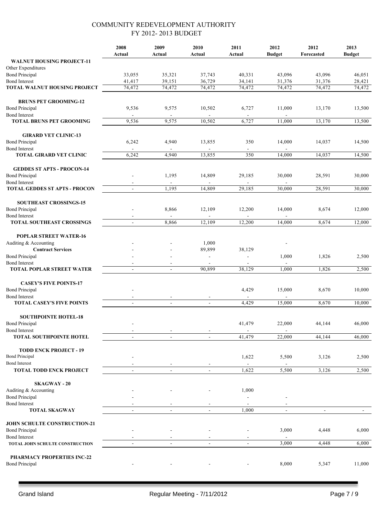|                                                         | 2008<br>Actual   | 2009<br>Actual           | 2010<br>Actual               | 2011<br>Actual   | 2012<br><b>Budget</b> | 2012<br>Forecasted | 2013<br><b>Budget</b> |
|---------------------------------------------------------|------------------|--------------------------|------------------------------|------------------|-----------------------|--------------------|-----------------------|
| <b>WALNUT HOUSING PROJECT-11</b>                        |                  |                          |                              |                  |                       |                    |                       |
| Other Expenditures                                      |                  |                          |                              |                  |                       |                    |                       |
| <b>Bond Principal</b><br><b>Bond Interest</b>           | 33,055<br>41,417 | 35,321<br>39,151         | 37,743<br>36,729             | 40,331<br>34,141 | 43,096<br>31,376      | 43,096<br>31,376   | 46,051<br>28,421      |
| <b>TOTAL WALNUT HOUSING PROJECT</b>                     | 74,472           | 74,472                   | 74,472                       | 74,472           | 74,472                | 74,472             | 74,472                |
|                                                         |                  |                          |                              |                  |                       |                    |                       |
| <b>BRUNS PET GROOMING-12</b>                            |                  |                          |                              |                  |                       |                    |                       |
| <b>Bond Principal</b>                                   | 9,536            | 9,575                    | 10,502                       | 6,727            | 11,000                | 13,170             | 13,500                |
| <b>Bond Interest</b><br><b>TOTAL BRUNS PET GROOMING</b> | 9,536            | 9,575                    | 10,502                       | 6,727            | 11,000                | 13,170             | 13,500                |
|                                                         |                  |                          |                              |                  |                       |                    |                       |
| <b>GIRARD VET CLINIC-13</b>                             |                  |                          |                              |                  |                       |                    |                       |
| <b>Bond Principal</b>                                   | 6,242            | 4,940                    | 13,855                       | 350              | 14,000                | 14,037             | 14,500                |
| <b>Bond Interest</b>                                    |                  |                          |                              | $\blacksquare$   |                       |                    |                       |
| <b>TOTAL GIRARD VET CLINIC</b>                          | 6,242            | 4,940                    | 13,855                       | 350              | 14,000                | 14,037             | 14,500                |
| <b>GEDDES ST APTS - PROCON-14</b>                       |                  |                          |                              |                  |                       |                    |                       |
| <b>Bond Principal</b>                                   |                  | 1,195                    | 14,809                       | 29,185           | 30,000                | 28,591             | 30,000                |
| <b>Bond Interest</b>                                    |                  |                          |                              |                  |                       |                    |                       |
| <b>TOTAL GEDDES ST APTS - PROCON</b>                    | $\blacksquare$   | 1,195                    | 14,809                       | 29,185           | 30,000                | 28,591             | 30,000                |
| <b>SOUTHEAST CROSSINGS-15</b>                           |                  |                          |                              |                  |                       |                    |                       |
| <b>Bond Principal</b>                                   |                  | 8,866                    | 12,109                       | 12,200           | 14,000                | 8,674              | 12,000                |
| <b>Bond Interest</b>                                    |                  | $\blacksquare$           | $\blacksquare$               | $\blacksquare$   | $\blacksquare$        |                    |                       |
| <b>TOTAL SOUTHEAST CROSSINGS</b>                        |                  | 8,866                    | 12,109                       | 12,200           | 14,000                | 8,674              | 12,000                |
| <b>POPLAR STREET WATER-16</b>                           |                  |                          |                              |                  |                       |                    |                       |
| Auditing & Accounting                                   |                  |                          | 1,000                        |                  |                       |                    |                       |
| <b>Contract Services</b>                                |                  |                          | 89,899                       | 38,129           |                       |                    |                       |
| <b>Bond Principal</b>                                   |                  |                          | $\blacksquare$               |                  | 1,000                 | 1,826              | 2,500                 |
| <b>Bond Interest</b>                                    |                  |                          | 90,899                       |                  | 1,000                 |                    |                       |
| <b>TOTAL POPLAR STREET WATER</b>                        |                  | $\overline{a}$           |                              | 38,129           |                       | 1,826              | 2,500                 |
| <b>CASEY'S FIVE POINTS-17</b>                           |                  |                          |                              |                  |                       |                    |                       |
| <b>Bond Principal</b>                                   |                  |                          |                              | 4,429            | 15,000                | 8,670              | 10,000                |
| <b>Bond Interest</b>                                    |                  |                          |                              |                  |                       |                    |                       |
| <b>TOTAL CASEY'S FIVE POINTS</b>                        | $\blacksquare$   | $\blacksquare$           | $\blacksquare$               | 4,429            | 15.000                | 8,670              | 10,000                |
| <b>SOUTHPOINTE HOTEL-18</b>                             |                  |                          |                              |                  |                       |                    |                       |
| <b>Bond Principal</b>                                   |                  |                          |                              | 41,479           | 22,000                | 44,144             | 46,000                |
| <b>Bond Interest</b>                                    |                  |                          |                              |                  |                       |                    |                       |
| <b>TOTAL SOUTHPOINTE HOTEL</b>                          | $\sim$           |                          | $\overline{a}$               | 41,479           | 22,000                | 44,144             | 46,000                |
| <b>TODD ENCK PROJECT - 19</b>                           |                  |                          |                              |                  |                       |                    |                       |
| <b>Bond Principal</b>                                   |                  |                          |                              | 1,622            | 5,500                 | 3,126              | 2,500                 |
| <b>Bond Interest</b>                                    |                  |                          |                              |                  |                       |                    |                       |
| <b>TOTAL TODD ENCK PROJECT</b>                          | $\sim$           |                          | $\frac{1}{2}$                | 1,622            | 5,500                 | 3,126              | 2,500                 |
| <b>SKAGWAY - 20</b>                                     |                  |                          |                              |                  |                       |                    |                       |
| Auditing & Accounting                                   |                  |                          |                              | 1,000            |                       |                    |                       |
| <b>Bond Principal</b>                                   |                  |                          |                              |                  |                       |                    |                       |
| <b>Bond Interest</b>                                    |                  |                          | $\qquad \qquad \blacksquare$ |                  |                       |                    |                       |
| <b>TOTAL SKAGWAY</b>                                    | $\blacksquare$   | $\mathbf{u}$             | $\overline{a}$               | 1,000            | $\overline{a}$        | $\blacksquare$     |                       |
| JOHN SCHULTE CONSTRUCTION-21                            |                  |                          |                              |                  |                       |                    |                       |
| <b>Bond Principal</b>                                   |                  |                          |                              |                  | 3,000                 | 4,448              | 6,000                 |
| <b>Bond Interest</b>                                    |                  |                          |                              |                  |                       |                    |                       |
| TOTAL JOHN SCHULTE CONSTRUCTION                         | $\blacksquare$   | $\overline{\phantom{a}}$ | $\blacksquare$               |                  | 3,000                 | 4,448              | 6,000                 |
| PHARMACY PROPERTIES INC-22                              |                  |                          |                              |                  |                       |                    |                       |
| <b>Bond Principal</b>                                   |                  |                          |                              |                  | 8,000                 | 5,347              | 11,000                |
|                                                         |                  |                          |                              |                  |                       |                    |                       |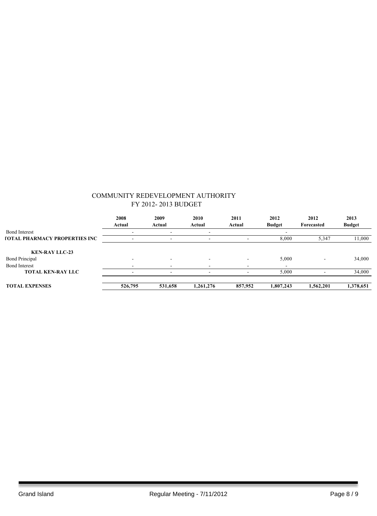|                                             | 2008                     | 2009    | 2010                     | 2011    | 2012                     | 2012       | 2013          |
|---------------------------------------------|--------------------------|---------|--------------------------|---------|--------------------------|------------|---------------|
|                                             | Actual                   | Actual  | Actual                   | Actual  | <b>Budget</b>            | Forecasted | <b>Budget</b> |
| <b>Bond Interest</b>                        |                          |         |                          |         |                          |            |               |
| <b><i>FOTAL PHARMACY PROPERTIES INC</i></b> |                          | -       | $\overline{\phantom{0}}$ |         | 8,000                    | 5,347      | 11,000        |
|                                             |                          |         |                          |         |                          |            |               |
| <b>KEN-RAY LLC-23</b>                       |                          |         |                          |         |                          |            |               |
| <b>Bond Principal</b>                       |                          |         |                          | -       | 5,000                    |            | 34,000        |
| <b>Bond Interest</b>                        |                          |         |                          |         | $\overline{\phantom{0}}$ |            |               |
| <b>TOTAL KEN-RAY LLC</b>                    | $\overline{\phantom{0}}$ | -       | -                        |         | 5,000                    |            | 34,000        |
|                                             |                          |         |                          |         |                          |            |               |
| <b>TOTAL EXPENSES</b>                       | 526,795                  | 531,658 | 1,261,276                | 857,952 | 1,807,243                | 1,562,201  | 1,378,651     |